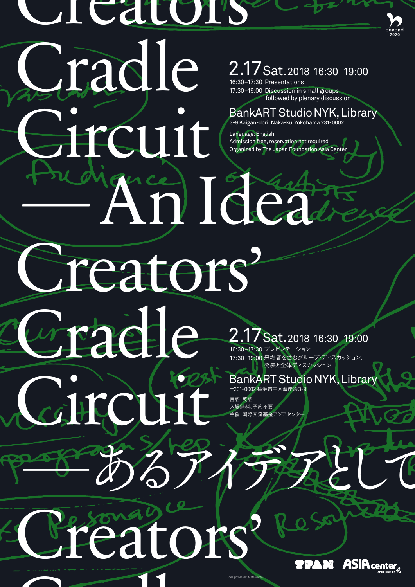# **Cators** Cradle BankART Studio Creators' wraade City Off Besonay Tors ̶あるアイデアとして 2.17 Sat. 2018 16:30-19:00 2.17 Sat. 2018 16:30-19:00 BankART Studio NYK, Library BankART Studio NYK, Library 〒231 -0002 横浜市中区海岸通3-9 言語:英語 入場無料、予約不要 主催:国際交流基金アジアセンタ 16:30-17:30 プレゼンテーション 17:30-19:00 来場者を含むグループ・ディスカッション、 発表と全体ディスカッション 16:30-17:30 Presentations 17:30-19:00 Discussion in small groups 3-9 Kaigan-dori, Naka-ku,Yokohama 231 -0002 Language:English Admission free, reservation not required Organized by The Japan Foundation Asia Center followed by plenary discussion

 $\sim$  11



design: Masaki Matsumoto